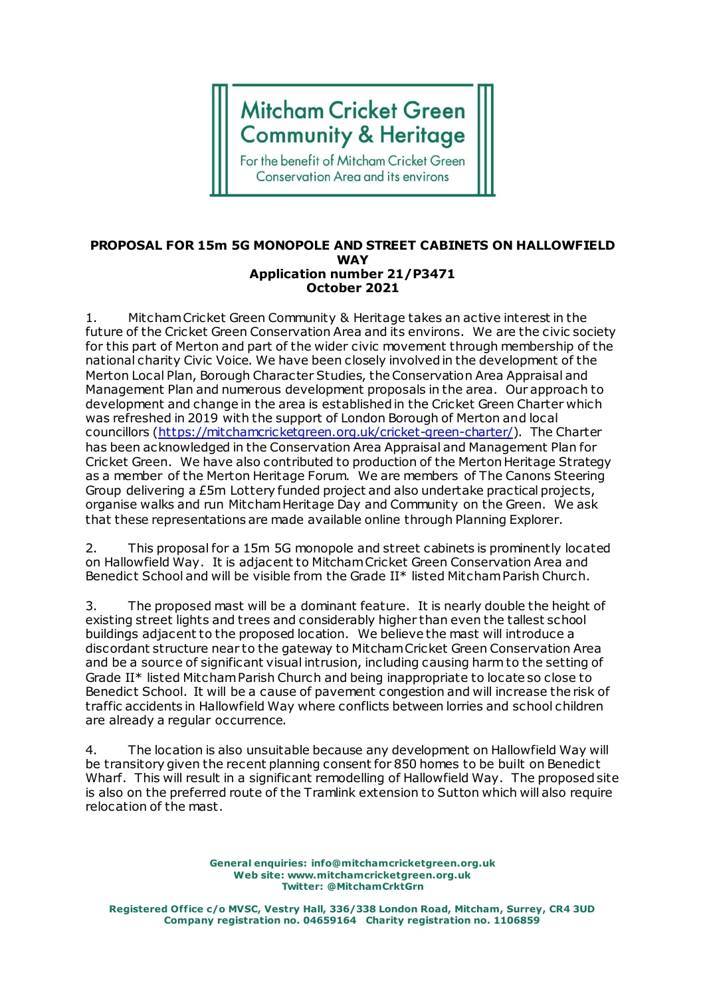## **Mitcham Cricket Green Community & Heritage**

For the benefit of Mitcham Cricket Green **Conservation Area and its environs** 

## **PROPOSAL FOR 15m 5G MONOPOLE AND STREET CABINETS ON HALLOWFIELD WAY Application number 21/P3471 October 2021**

1. Mitcham Cricket Green Community & Heritage takes an active interest in the future of the Cricket Green Conservation Area and its environs. We are the civic society for this part of Merton and part of the wider civic movement through membership of the national charity Civic Voice. We have been closely involved in the development of the Merton Local Plan, Borough Character Studies, the Conservation Area Appraisal and Management Plan and numerous development proposals in the area. Our approach to development and change in the area is established in the Cricket Green Charter which was refreshed in 2019 with the support of London Borough of Merton and local councillors [\(https://mitchamcricketgreen.org.uk/cricket-green-charter/](https://mitchamcricketgreen.org.uk/cricket-green-charter/)). The Charter has been acknowledged in the Conservation Area Appraisal and Management Plan for Cricket Green. We have also contributed to production of the Merton Heritage Strategy as a member of the Merton Heritage Forum. We are members of The Canons Steering Group delivering a £5m Lottery funded project and also undertake practical projects, organise walks and run Mitcham Heritage Day and Community on the Green. We ask that these representations are made available online through Planning Explorer.

2. This proposal for a 15m 5G monopole and street cabinets is prominently located on Hallowfield Way. It is adjacent to Mitcham Cricket Green Conservation Area and Benedict School and will be visible from the Grade II\* listed Mitcham Parish Church.

3. The proposed mast will be a dominant feature. It is nearly double the height of existing street lights and trees and considerably higher than even the tallest school buildings adjacent to the proposed location. We believe the mast will introduce a discordant structure near to the gateway to Mitcham Cricket Green Conservation Area and be a source of significant visual intrusion, including causing harm to the setting of Grade II\* listed Mitcham Parish Church and being inappropriate to locate so close to Benedict School. It will be a cause of pavement congestion and will increase the risk of traffic accidents in Hallowfield Way where conflicts between lorries and school children are already a regular occurrence.

4. The location is also unsuitable because any development on Hallowfield Way will be transitory given the recent planning consent for 850 homes to be built on Benedict Wharf. This will result in a significant remodelling of Hallowfield Way. The proposed site is also on the preferred route of the Tramlink extension to Sutton which will also require relocation of the mast.

> **General enquiries: info@mitchamcricketgreen.org.uk Web site: www.mitchamcricketgreen.org.uk Twitter: @MitchamCrktGrn**

**Registered Office c/o MVSC, Vestry Hall, 336/338 London Road, Mitcham, Surrey, CR4 3UD Company registration no. 04659164 Charity registration no. 1106859**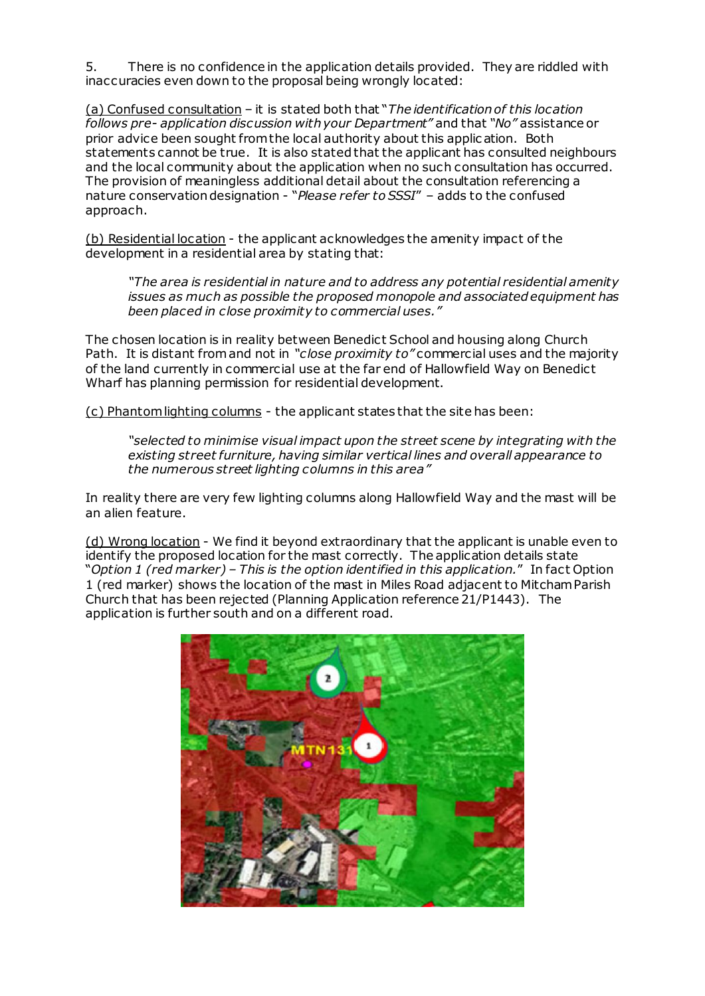5. There is no confidence in the application details provided. They are riddled with inaccuracies even down to the proposal being wrongly located:

(a) Confused consultation – it is stated both that "*The identification of this location follows pre- application discussion with your Department"* and that *"No"* assistance or prior advice been sought from the local authority about this applic ation. Both statements cannot be true. It is also stated that the applicant has consulted neighbours and the local community about the application when no such consultation has occurred. The provision of meaningless additional detail about the consultation referencing a nature conservation designation - "*Please refer to SSSI*" – adds to the confused approach.

(b) Residential location - the applicant acknowledges the amenity impact of the development in a residential area by stating that:

*"The area is residential in nature and to address any potential residential amenity issues as much as possible the proposed monopole and associated equipment has been placed in close proximity to commercial uses."*

The chosen location is in reality between Benedict School and housing along Church Path. It is distant from and not in *"close proximity to"* commercial uses and the majority of the land currently in commercial use at the far end of Hallowfield Way on Benedict Wharf has planning permission for residential development.

(c) Phantom lighting columns - the applicant states that the site has been:

*"selected to minimise visual impact upon the street scene by integrating with the existing street furniture, having similar vertical lines and overall appearance to the numerous street lighting columns in this area"*

In reality there are very few lighting columns along Hallowfield Way and the mast will be an alien feature.

(d) Wrong location - We find it beyond extraordinary that the applicant is unable even to identify the proposed location for the mast correctly. The application details state "*Option 1 (red marker) – This is the option identified in this application.*" In fact Option 1 (red marker) shows the location of the mast in Miles Road adjacent to Mitcham Parish Church that has been rejected (Planning Application reference 21/P1443). The application is further south and on a different road.

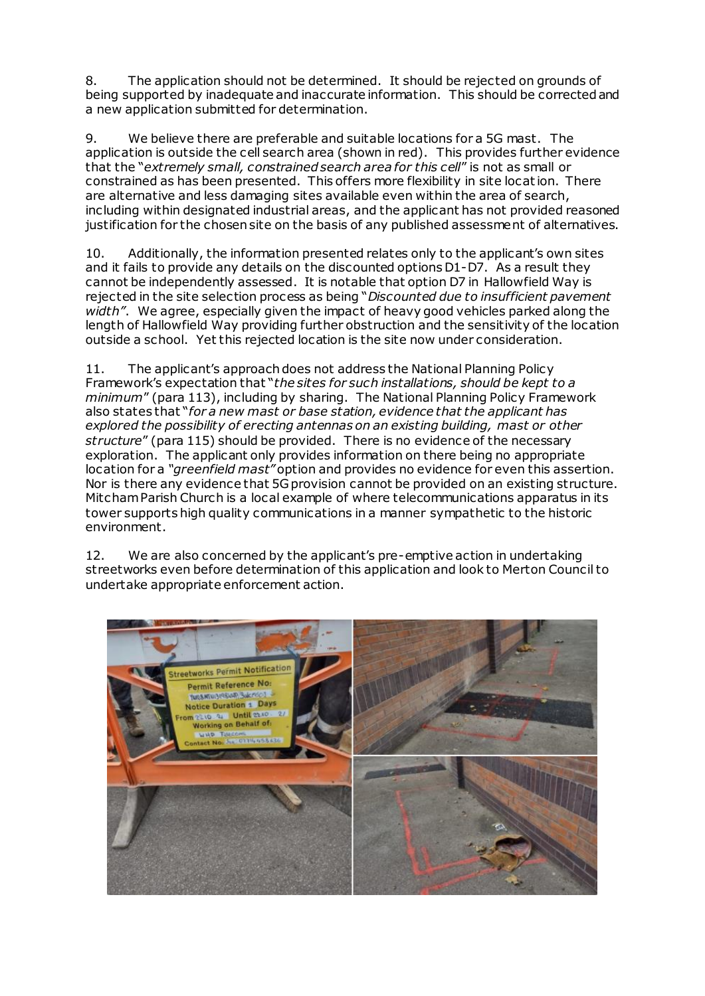8. The application should not be determined. It should be rejected on grounds of being supported by inadequate and inaccurate information. This should be corrected and a new application submitted for determination.

9. We believe there are preferable and suitable locations for a 5G mast. The application is outside the cell search area (shown in red). This provides further evidence that the "*extremely small, constrained search area for this cell*" is not as small or constrained as has been presented. This offers more flexibility in site location. There are alternative and less damaging sites available even within the area of search, including within designated industrial areas, and the applicant has not provided reasoned justification for the chosen site on the basis of any published assessment of alternatives.

10. Additionally, the information presented relates only to the applicant's own sites and it fails to provide any details on the discounted options D1-D7. As a result they cannot be independently assessed. It is notable that option D7 in Hallowfield Way is rejected in the site selection process as being "*Discounted due to insufficient pavement width"*. We agree, especially given the impact of heavy good vehicles parked along the length of Hallowfield Way providing further obstruction and the sensitivity of the location outside a school. Yet this rejected location is the site now under consideration.

11. The applicant's approach does not address the National Planning Policy Framework's expectation that "*the sites for such installations, should be kept to a minimum*" (para 113), including by sharing. The National Planning Policy Framework also states that "*for a new mast or base station, evidence that the applicant has explored the possibility of erecting antennas on an existing building, mast or other structure*" (para 115) should be provided. There is no evidence of the necessary exploration. The applicant only provides information on there being no appropriate location for a *"greenfield mast"* option and provides no evidence for even this assertion. Nor is there any evidence that 5G provision cannot be provided on an existing structure. Mitcham Parish Church is a local example of where telecommunications apparatus in its tower supports high quality communications in a manner sympathetic to the historic environment.

12. We are also concerned by the applicant's pre-emptive action in undertaking streetworks even before determination of this application and look to Merton Council to undertake appropriate enforcement action.